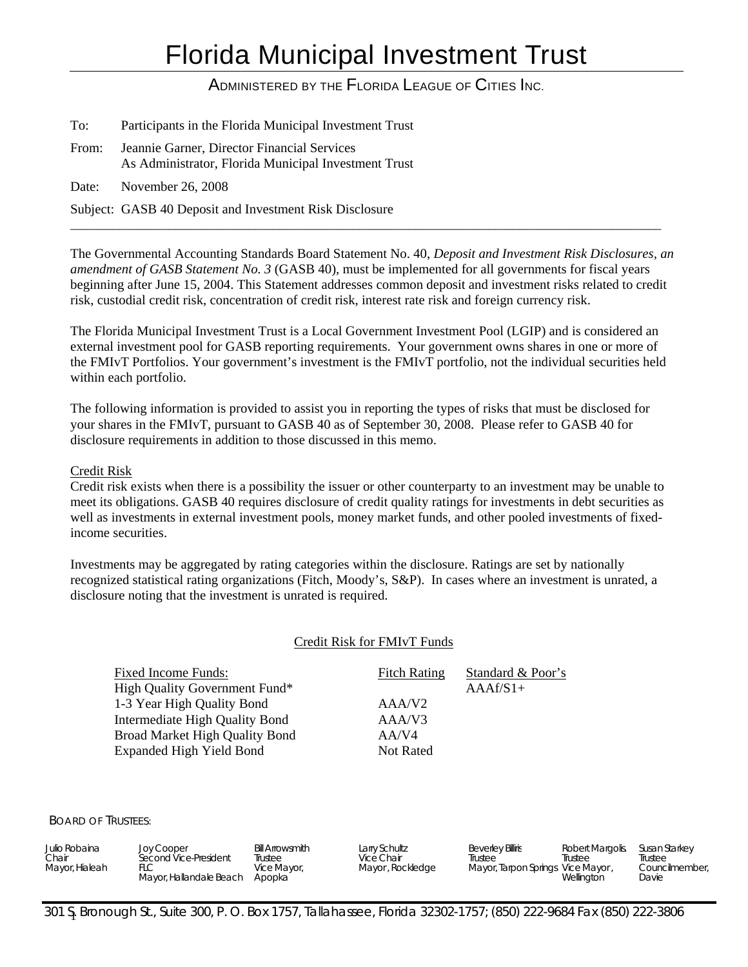# Florida Municipal Investment Trust

# ADMINISTERED BY THE FLORIDA LEAGUE OF CITIES INC.

| To:   | Participants in the Florida Municipal Investment Trust                                              |
|-------|-----------------------------------------------------------------------------------------------------|
| From: | Jeannie Garner, Director Financial Services<br>As Administrator, Florida Municipal Investment Trust |
| Date: | November 26, 2008                                                                                   |

Subject: GASB 40 Deposit and Investment Risk Disclosure

The Governmental Accounting Standards Board Statement No. 40, *Deposit and Investment Risk Disclosures, an amendment of GASB Statement No. 3* (GASB 40), must be implemented for all governments for fiscal years beginning after June 15, 2004. This Statement addresses common deposit and investment risks related to credit risk, custodial credit risk, concentration of credit risk, interest rate risk and foreign currency risk.

\_\_\_\_\_\_\_\_\_\_\_\_\_\_\_\_\_\_\_\_\_\_\_\_\_\_\_\_\_\_\_\_\_\_\_\_\_\_\_\_\_\_\_\_\_\_\_\_\_\_\_\_\_\_\_\_\_\_\_\_\_\_\_\_\_\_\_\_\_\_\_\_\_\_\_\_\_\_\_\_\_\_\_\_\_\_\_\_\_\_\_\_\_\_\_\_

The Florida Municipal Investment Trust is a Local Government Investment Pool (LGIP) and is considered an external investment pool for GASB reporting requirements. Your government owns shares in one or more of the FMIvT Portfolios. Your government's investment is the FMIvT portfolio, not the individual securities held within each portfolio.

The following information is provided to assist you in reporting the types of risks that must be disclosed for your shares in the FMIvT, pursuant to GASB 40 as of September 30, 2008. Please refer to GASB 40 for disclosure requirements in addition to those discussed in this memo.

### Credit Risk

Credit risk exists when there is a possibility the issuer or other counterparty to an investment may be unable to meet its obligations. GASB 40 requires disclosure of credit quality ratings for investments in debt securities as well as investments in external investment pools, money market funds, and other pooled investments of fixedincome securities.

Investments may be aggregated by rating categories within the disclosure. Ratings are set by nationally recognized statistical rating organizations (Fitch, Moody's, S&P). In cases where an investment is unrated, a disclosure noting that the investment is unrated is required.

#### Credit Risk for FMIvT Funds

Fixed Income Funds: Fitch Rating Standard & Poor's High Quality Government Fund\* AAAf/S1+ 1-3 Year High Quality Bond AAA/V2 Intermediate High Quality Bond AAA/V3 Broad Market High Quality Bond AA/V4 Expanded High Yield Bond Not Rated

BOARD OF TRUSTEES:

| Julio Robaina<br>Chair<br>Mayor, Hialeah | <b>Joy Cooper</b><br>Second Vice-President<br>Mayor, Hallandale Beach | <b>Bill Arrowsmith</b><br>Trustee<br>Vice Mayor,<br>Apopka | Larry Schultz<br>Vice Chair<br>Mayor, Rockledge | <b>Beverley Billiris</b><br>Trustee<br>Mayor, Tarpon Springs Vice Mayor, | Robert Margolis.<br>Trustee<br>Wellinaton | Susan Starkey<br>Trustee<br>Councilmember,<br>Davie |
|------------------------------------------|-----------------------------------------------------------------------|------------------------------------------------------------|-------------------------------------------------|--------------------------------------------------------------------------|-------------------------------------------|-----------------------------------------------------|
|                                          |                                                                       |                                                            |                                                 |                                                                          |                                           |                                                     |

1 301 S. Bronough St., Suite 300, P. O. Box 1757, Tallahassee, Florida 32302-1757; (850) 222-9684 Fax (850) 222-3806